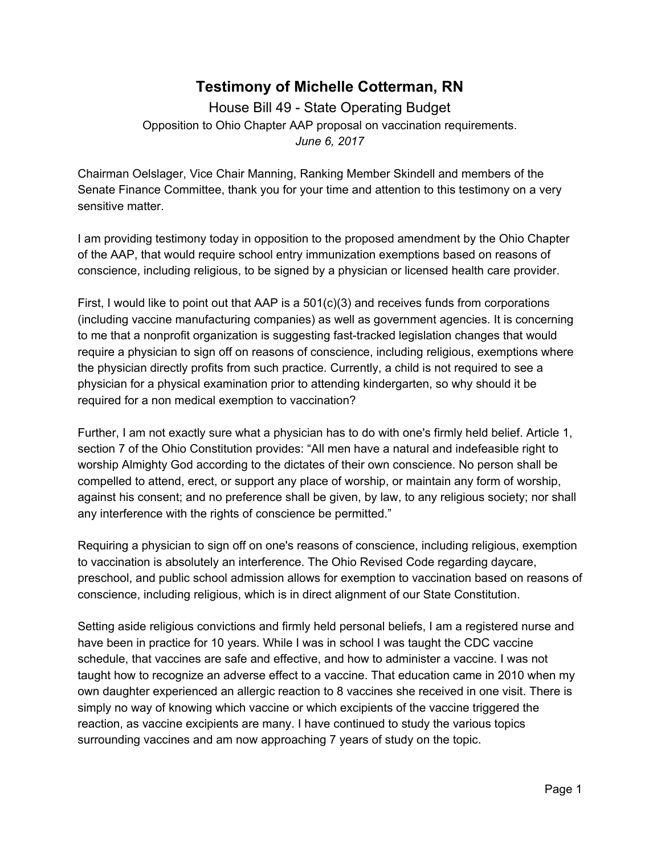## **Testimony of Michelle Cotterman, RN**

House Bill 49 - State Operating Budget Opposition to Ohio Chapter AAP proposal on vaccination requirements. *June 6, 2017*

Chairman Oelslager, Vice Chair Manning, Ranking Member Skindell and members of the Senate Finance Committee, thank you for your time and attention to this testimony on a very sensitive matter.

I am providing testimony today in opposition to the proposed amendment by the Ohio Chapter of the AAP, that would require school entry immunization exemptions based on reasons of conscience, including religious, to be signed by a physician or licensed health care provider.

First, I would like to point out that AAP is a  $501(c)(3)$  and receives funds from corporations (including vaccine manufacturing companies) as well as government agencies. It is concerning to me that a nonprofit organization is suggesting fast-tracked legislation changes that would require a physician to sign off on reasons of conscience, including religious, exemptions where the physician directly profits from such practice. Currently, a child is not required to see a physician for a physical examination prior to attending kindergarten, so why should it be required for a non medical exemption to vaccination?

Further, I am not exactly sure what a physician has to do with one's firmly held belief. Article 1, section 7 of the Ohio Constitution provides: "All men have a natural and indefeasible right to worship Almighty God according to the dictates of their own conscience. No person shall be compelled to attend, erect, or support any place of worship, or maintain any form of worship, against his consent; and no preference shall be given, by law, to any religious society; nor shall any interference with the rights of conscience be permitted."

Requiring a physician to sign off on one's reasons of conscience, including religious, exemption to vaccination is absolutely an interference. The Ohio Revised Code regarding daycare, preschool, and public school admission allows for exemption to vaccination based on reasons of conscience, including religious, which is in direct alignment of our State Constitution.

Setting aside religious convictions and firmly held personal beliefs, I am a registered nurse and have been in practice for 10 years. While I was in school I was taught the CDC vaccine schedule, that vaccines are safe and effective, and how to administer a vaccine. I was not taught how to recognize an adverse effect to a vaccine. That education came in 2010 when my own daughter experienced an allergic reaction to 8 vaccines she received in one visit. There is simply no way of knowing which vaccine or which excipients of the vaccine triggered the reaction, as vaccine excipients are many. I have continued to study the various topics surrounding vaccines and am now approaching 7 years of study on the topic.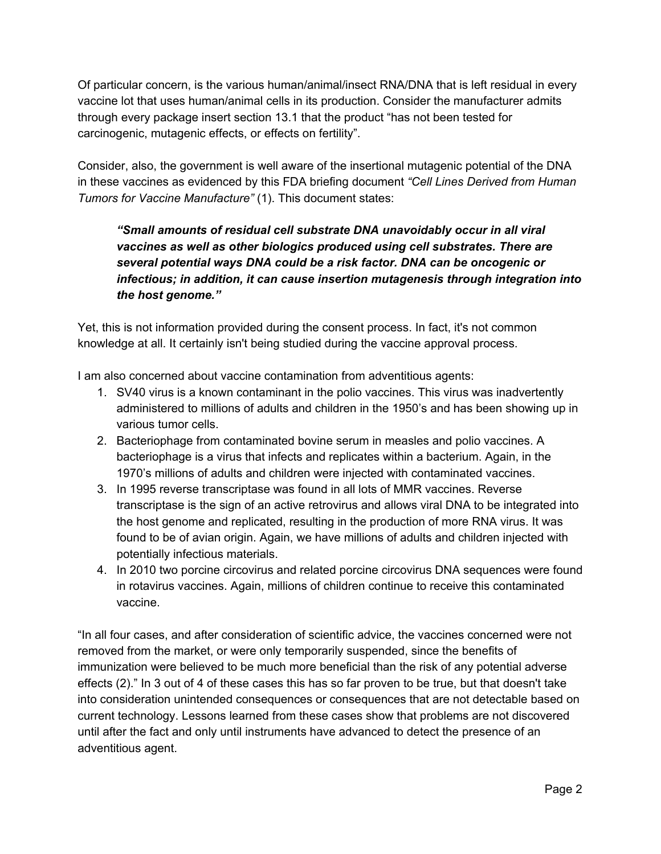Of particular concern, is the various human/animal/insect RNA/DNA that is left residual in every vaccine lot that uses human/animal cells in its production. Consider the manufacturer admits through every package insert section 13.1 that the product "has not been tested for carcinogenic, mutagenic effects, or effects on fertility".

Consider, also, the government is well aware of the insertional mutagenic potential of the DNA in these vaccines as evidenced by this FDA briefing document *"Cell Lines Derived from Human Tumors for Vaccine Manufacture"* (1). This document states:

## *"Small amounts of residual cell substrate DNA unavoidably occur in all viral vaccines as well as other biologics produced using cell substrates. There are several potential ways DNA could be a risk factor. DNA can be oncogenic or infectious; in addition, it can cause insertion mutagenesis through integration into the host genome."*

Yet, this is not information provided during the consent process. In fact, it's not common knowledge at all. It certainly isn't being studied during the vaccine approval process.

I am also concerned about vaccine contamination from adventitious agents:

- 1. SV40 virus is a known contaminant in the polio vaccines. This virus was inadvertently administered to millions of adults and children in the 1950's and has been showing up in various tumor cells.
- 2. Bacteriophage from contaminated bovine serum in measles and polio vaccines. A bacteriophage is a virus that infects and replicates within a bacterium. Again, in the 1970's millions of adults and children were injected with contaminated vaccines.
- 3. In 1995 reverse transcriptase was found in all lots of MMR vaccines. Reverse transcriptase is the sign of an active retrovirus and allows viral DNA to be integrated into the host genome and replicated, resulting in the production of more RNA virus. It was found to be of avian origin. Again, we have millions of adults and children injected with potentially infectious materials.
- 4. In 2010 two porcine circovirus and related porcine circovirus DNA sequences were found in rotavirus vaccines. Again, millions of children continue to receive this contaminated vaccine.

"In all four cases, and after consideration of scientific advice, the vaccines concerned were not removed from the market, or were only temporarily suspended, since the benefits of immunization were believed to be much more beneficial than the risk of any potential adverse effects (2)." In 3 out of 4 of these cases this has so far proven to be true, but that doesn't take into consideration unintended consequences or consequences that are not detectable based on current technology. Lessons learned from these cases show that problems are not discovered until after the fact and only until instruments have advanced to detect the presence of an adventitious agent.